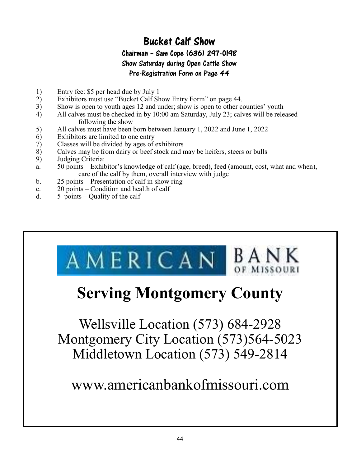# Bucket Calf Show

### Chairman – Sam Cope (636) 297-0198

Show Saturday during Open Cattle Show

#### Pre-Registration Form on Page 44

- 
- (1) Entry fee: \$5 per head due by July 1<br>
2) Exhibitors must use "Bucket Calf Sh Exhibitors must use "Bucket Calf Show Entry Form" on page 44.
- 6KRZ) 5 Show is open to youth ages 12 and under; show is open to other counties' youth<br>4) All calves must be checked in by 10:00 am Saturday, July 23: calves will be rele
- All calves must be checked in by 10:00 am Saturday, July 23; calves will be released following the show
- 5) All calves must have been born between January 1, 2022 and June 1, 2022
- $(6)$  Exhibitors are limited to one entry
- $(7)$  Classes will be divided by ages of exhibitors
- 8) Calves may be from dairy or beef stock and may be heifers, steers or bulls
- 9) Judging Criteria:
- a. 50 points Exhibitor's knowledge of calf (age, breed), feed (amount, cost, what and when), care of the calf by them, overall interview with judge
- b.  $25$  points Presentation of calf in show ring
- c.  $20$  points Condition and health of calf
- d.  $5$  points Quality of the calf